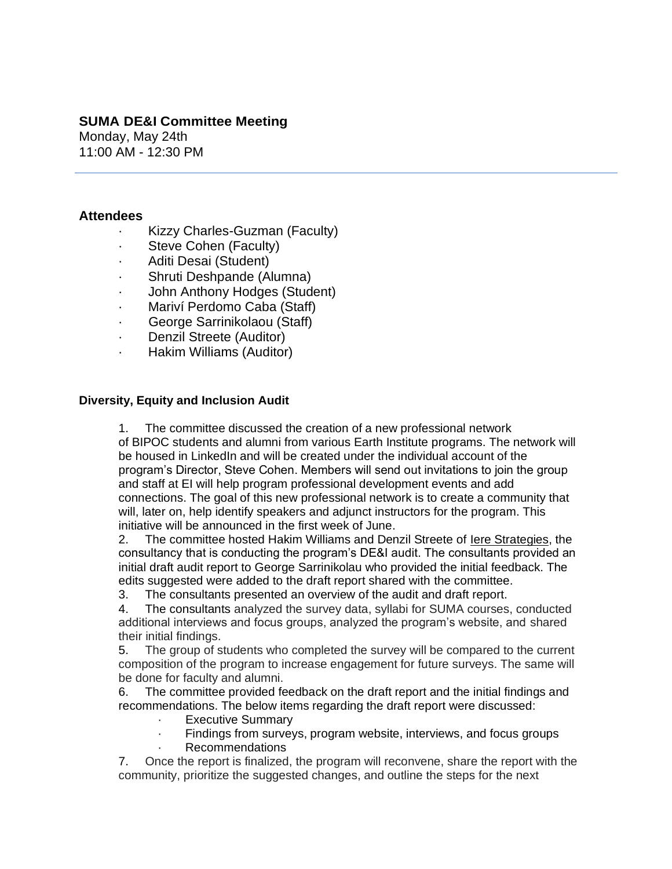# **SUMA DE&I Committee Meeting**

Monday, May 24th 11:00 AM - 12:30 PM

## **Attendees**

- · Kizzy Charles-Guzman (Faculty)
- · Steve Cohen (Faculty)
- Aditi Desai (Student)
- Shruti Deshpande (Alumna)
- · John Anthony Hodges (Student)
- Mariví Perdomo Caba (Staff)
- George Sarrinikolaou (Staff)
- · Denzil Streete (Auditor)
- · Hakim Williams (Auditor)

## **Diversity, Equity and Inclusion Audit**

1. The committee discussed the creation of a new professional network of BIPOC students and alumni from various Earth Institute programs. The network will be housed in LinkedIn and will be created under the individual account of the program's Director, Steve Cohen. Members will send out invitations to join the group and staff at EI will help program professional development events and add connections. The goal of this new professional network is to create a community that will, later on, help identify speakers and adjunct instructors for the program. This initiative will be announced in the first week of June.

2. The committee hosted Hakim Williams and Denzil Streete of [Iere Strategies,](https://ierestrategies.wordpress.com/) the consultancy that is conducting the program's DE&I audit. The consultants provided an initial draft audit report to George Sarrinikolau who provided the initial feedback. The edits suggested were added to the draft report shared with the committee.

3. The consultants presented an overview of the audit and draft report.

4. The consultants analyzed the survey data, syllabi for SUMA courses, conducted additional interviews and focus groups, analyzed the program's website, and shared their initial findings.

5. The group of students who completed the survey will be compared to the current composition of the program to increase engagement for future surveys. The same will be done for faculty and alumni.

6. The committee provided feedback on the draft report and the initial findings and recommendations. The below items regarding the draft report were discussed:

- **Executive Summary**
- Findings from surveys, program website, interviews, and focus groups
- **Recommendations**

7. Once the report is finalized, the program will reconvene, share the report with the community, prioritize the suggested changes, and outline the steps for the next